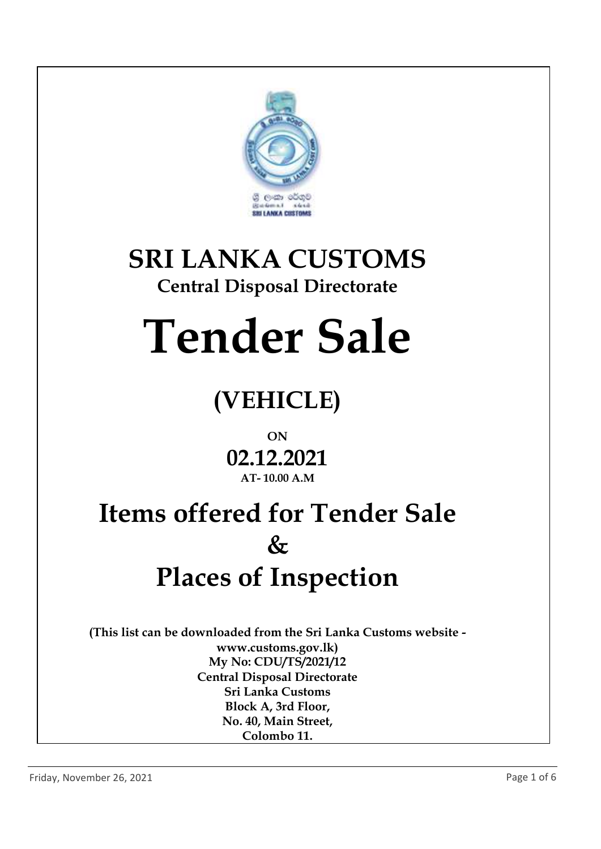

## **SRI LANKA CUSTOMS**

### **Central Disposal Directorate**

# **Tender Sale**

### **(VEHICLE)**

### **ON 02.12.2021 AT- 10.00 A.M**

### **Items offered for Tender Sale & Places of Inspection**

**(This list can be downloaded from the Sri Lanka Customs website www.customs.gov.lk) My No: CDU/TS/2021/12 Central Disposal Directorate Sri Lanka Customs Block A, 3rd Floor, No. 40, Main Street, Colombo 11.**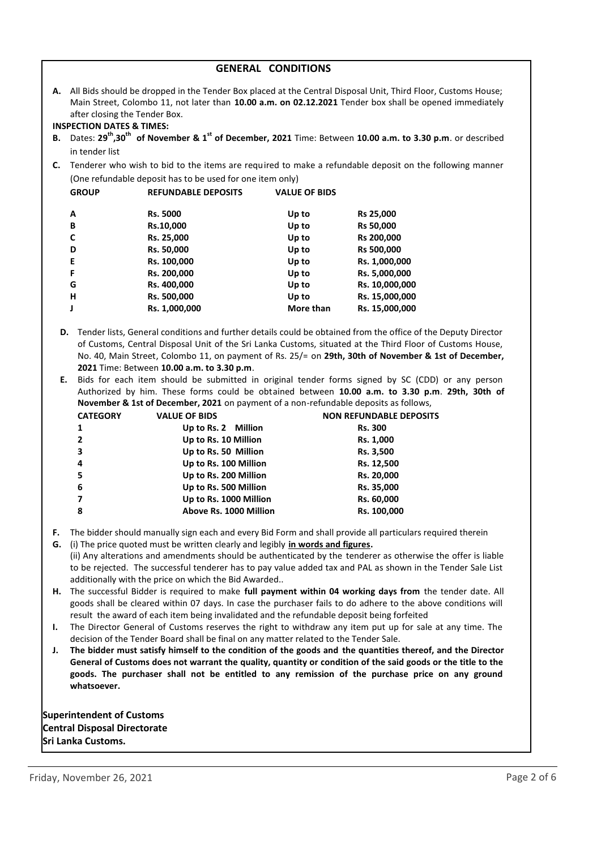#### **GENERAL CONDITIONS**

**A.** All Bids should be dropped in the Tender Box placed at the Central Disposal Unit, Third Floor, Customs House; Main Street, Colombo 11, not later than **10.00 a.m. on 02.12.2021** Tender box shall be opened immediately after closing the Tender Box.

#### **INSPECTION DATES & TIMES:**

- **B.** Dates: **29th,30th of November & 1st of December, 2021** Time: Between **10.00 a.m. to 3.30 p.m**. or described in tender list
- **C.** Tenderer who wish to bid to the items are required to make a refundable deposit on the following manner (One refundable deposit has to be used for one item only)

| <b>GROUP</b> | <b>REFUNDABLE DEPOSITS</b> | <b>VALUE OF BIDS</b> |                  |
|--------------|----------------------------|----------------------|------------------|
| A            | Rs. 5000                   | Up to                | Rs 25,000        |
| В            | Rs.10,000                  | Up to                | <b>Rs 50,000</b> |
| C            | Rs. 25,000                 | Up to                | Rs 200,000       |
| D            | Rs. 50,000                 | Up to                | Rs 500,000       |
| E            | Rs. 100,000                | Up to                | Rs. 1,000,000    |
| F            | Rs. 200,000                | Up to                | Rs. 5,000,000    |
| G            | Rs. 400,000                | Up to                | Rs. 10,000,000   |
| н            | Rs. 500,000                | Up to                | Rs. 15,000,000   |
|              | Rs. 1,000,000              | More than            | Rs. 15,000,000   |
|              |                            |                      |                  |

- **D.** Tender lists, General conditions and further details could be obtained from the office of the Deputy Director of Customs, Central Disposal Unit of the Sri Lanka Customs, situated at the Third Floor of Customs House, No. 40, Main Street, Colombo 11, on payment of Rs. 25/= on **29th, 30th of November & 1st of December, 2021** Time: Between **10.00 a.m. to 3.30 p.m**.
- **E.** Bids for each item should be submitted in original tender forms signed by SC (CDD) or any person Authorized by him. These forms could be obtained between **10.00 a.m. to 3.30 p.m**. **29th, 30th of November & 1st of December, 2021** on payment of a non-refundable deposits as follows,

| <b>VALUE OF BIDS</b><br><b>CATEGORY</b>         | <b>NON REFUNDABLE DEPOSITS</b> |
|-------------------------------------------------|--------------------------------|
| Up to Rs. 2 Million<br>1                        | <b>Rs. 300</b>                 |
| Up to Rs. 10 Million<br>$\overline{2}$          | Rs. 1,000                      |
| $\overline{\mathbf{3}}$<br>Up to Rs. 50 Million | Rs. 3,500                      |
| Up to Rs. 100 Million<br>$\overline{a}$         | Rs. 12,500                     |
| -5<br>Up to Rs. 200 Million                     | Rs. 20,000                     |
| 6<br>Up to Rs. 500 Million                      | Rs. 35,000                     |
| Up to Rs. 1000 Million<br>7                     | Rs. 60,000                     |
| 8<br>Above Rs. 1000 Million                     | Rs. 100,000                    |

- **F.** The bidder should manually sign each and every Bid Form and shall provide all particulars required therein
- **G.** (i) The price quoted must be written clearly and legibly **in words and figures.** (ii) Any alterations and amendments should be authenticated by the tenderer as otherwise the offer is liable to be rejected. The successful tenderer has to pay value added tax and PAL as shown in the Tender Sale List additionally with the price on which the Bid Awarded..
- **H.** The successful Bidder is required to make **full payment within 04 working days from** the tender date. All goods shall be cleared within 07 days. In case the purchaser fails to do adhere to the above conditions will result the award of each item being invalidated and the refundable deposit being forfeited
- **I.** The Director General of Customs reserves the right to withdraw any item put up for sale at any time. The decision of the Tender Board shall be final on any matter related to the Tender Sale.
- **J. The bidder must satisfy himself to the condition of the goods and the quantities thereof, and the Director General of Customs does not warrant the quality, quantity or condition of the said goods or the title to the goods. The purchaser shall not be entitled to any remission of the purchase price on any ground whatsoever.**

**Superintendent of Customs Central Disposal Directorate Sri Lanka Customs.**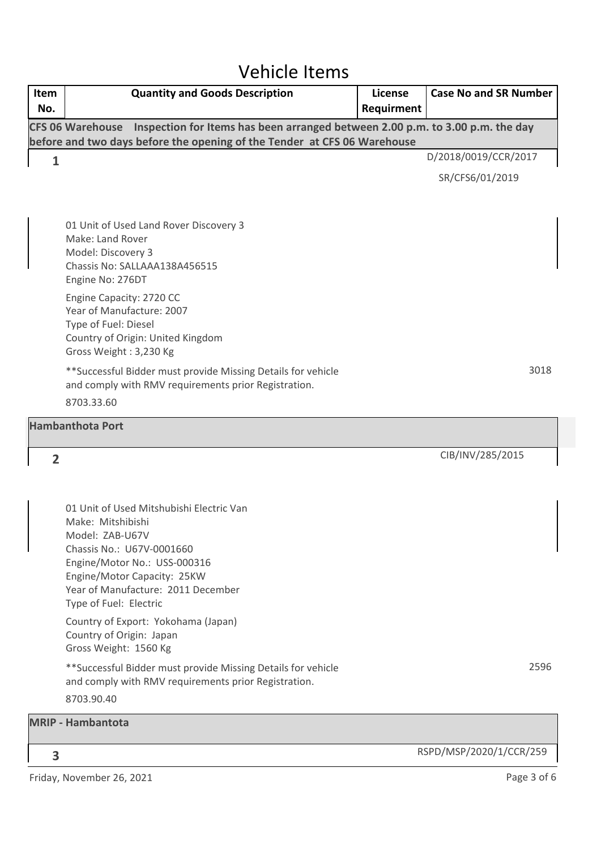### Vehicle Items

| Item<br>No.    | <b>Quantity and Goods Description</b>                                                                                                                                                                                                        | License<br>Requirment | <b>Case No and SR Number</b> |
|----------------|----------------------------------------------------------------------------------------------------------------------------------------------------------------------------------------------------------------------------------------------|-----------------------|------------------------------|
|                | Inspection for Items has been arranged between 2.00 p.m. to 3.00 p.m. the day<br><b>CFS 06 Warehouse</b><br>before and two days before the opening of the Tender at CFS 06 Warehouse                                                         |                       |                              |
| 1              |                                                                                                                                                                                                                                              |                       | D/2018/0019/CCR/2017         |
|                |                                                                                                                                                                                                                                              |                       | SR/CFS6/01/2019              |
|                | 01 Unit of Used Land Rover Discovery 3<br>Make: Land Rover<br>Model: Discovery 3<br>Chassis No: SALLAAA138A456515<br>Engine No: 276DT                                                                                                        |                       |                              |
|                | Engine Capacity: 2720 CC<br>Year of Manufacture: 2007<br>Type of Fuel: Diesel<br>Country of Origin: United Kingdom<br>Gross Weight: 3,230 Kg                                                                                                 |                       |                              |
|                | ** Successful Bidder must provide Missing Details for vehicle<br>and comply with RMV requirements prior Registration.                                                                                                                        |                       | 3018                         |
|                | 8703.33.60                                                                                                                                                                                                                                   |                       |                              |
|                | <b>Hambanthota Port</b>                                                                                                                                                                                                                      |                       |                              |
| $\overline{2}$ |                                                                                                                                                                                                                                              |                       | CIB/INV/285/2015             |
|                |                                                                                                                                                                                                                                              |                       |                              |
|                | 01 Unit of Used Mitshubishi Electric Van<br>Make: Mitshibishi<br>Model: ZAB-U67V<br>Chassis No.: U67V-0001660<br>Engine/Motor No.: USS-000316<br>Engine/Motor Capacity: 25KW<br>Year of Manufacture: 2011 December<br>Type of Fuel: Electric |                       |                              |
|                | Country of Export: Yokohama (Japan)<br>Country of Origin: Japan<br>Gross Weight: 1560 Kg                                                                                                                                                     |                       |                              |
|                | ** Successful Bidder must provide Missing Details for vehicle<br>and comply with RMV requirements prior Registration.                                                                                                                        |                       | 2596                         |
|                | 8703.90.40                                                                                                                                                                                                                                   |                       |                              |
|                | <b>MRIP - Hambantota</b>                                                                                                                                                                                                                     |                       |                              |
| 3              |                                                                                                                                                                                                                                              |                       | RSPD/MSP/2020/1/CCR/259      |
|                | Friday, November 26, 2021                                                                                                                                                                                                                    |                       | Page 3 of 6                  |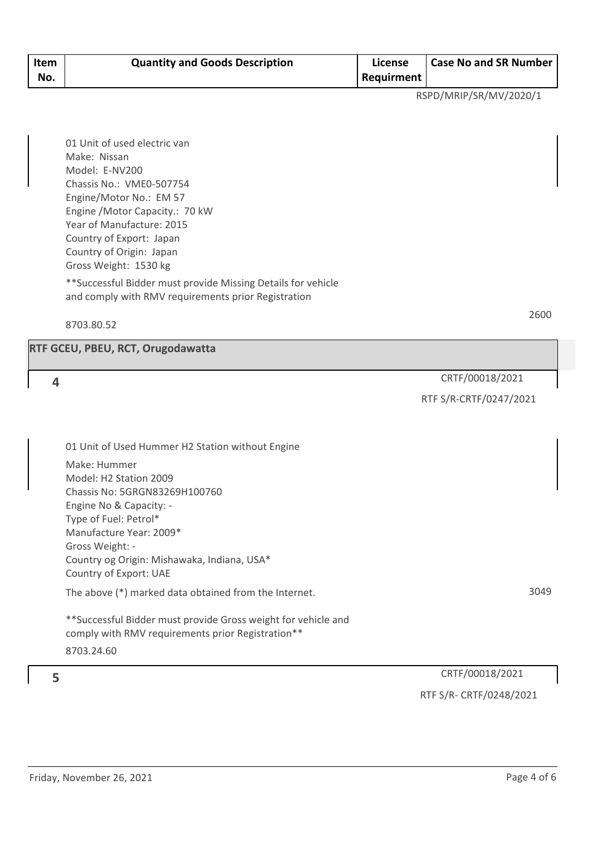| Item<br>No. | <b>Quantity and Goods Description</b> | License<br><b>Requirment</b> | <b>Case No and SR Number</b> |
|-------------|---------------------------------------|------------------------------|------------------------------|
|             |                                       |                              |                              |

RSPD/MRIP/SR/MV/2020/1

01 Unit of used electric van Make: Nissan Model: E-NV200 Chassis No.: VME0-507754 Engine/Motor No.: EM 57 Engine /Motor Capacity.: 70 kW Year of Manufacture: 2015 Country of Export: Japan Country of Origin: Japan Gross Weight: 1530 kg

\*\*Successful Bidder must provide Missing Details for vehicle and comply with RMV requirements prior Registration

8703.80.52

#### **RTF GCEU, PBEU, RCT, Orugodawatta**

CRTF/00018/2021 **4**

#### RTF S/R-CRTF/0247/2021

01 Unit of Used Hummer H2 Station without Engine Make: Hummer Model: H2 Station 2009 Chassis No: 5GRGN83269H100760 Engine No & Capacity: - Type of Fuel: Petrol\* Manufacture Year: 2009\* Gross Weight: - Country og Origin: Mishawaka, Indiana, USA\* Country of Export: UAE

The above (\*) marked data obtained from the Internet.

\*\*Successful Bidder must provide Gross weight for vehicle and comply with RMV requirements prior Registration\*\* 8703.24.60

CRTF/00018/2021 **5** RTF S/R- CRTF/0248/2021

3049

2600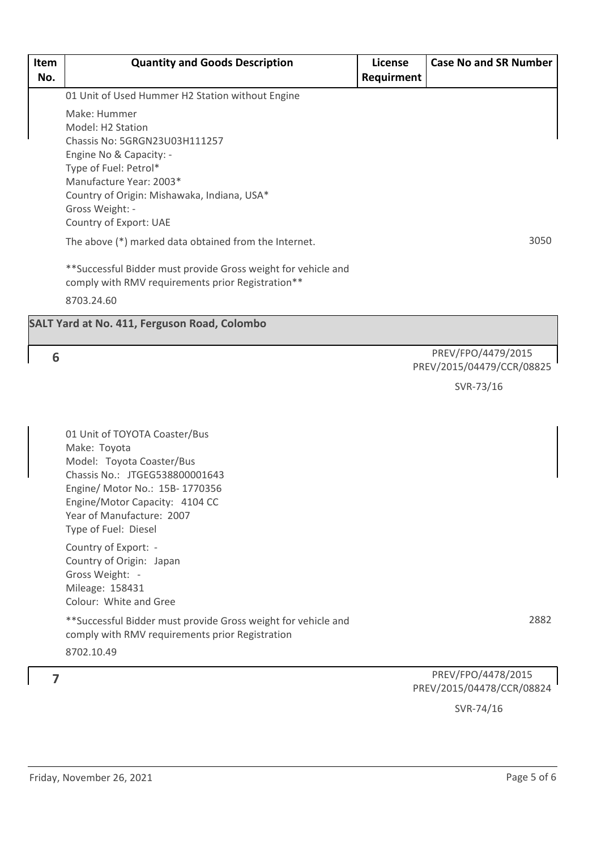| Item<br>No. | <b>Quantity and Goods Description</b>                                                                              | License<br>Requirment | <b>Case No and SR Number</b>                    |
|-------------|--------------------------------------------------------------------------------------------------------------------|-----------------------|-------------------------------------------------|
|             | 01 Unit of Used Hummer H2 Station without Engine                                                                   |                       |                                                 |
|             | Make: Hummer<br>Model: H2 Station<br>Chassis No: 5GRGN23U03H111257                                                 |                       |                                                 |
|             | Engine No & Capacity: -<br>Type of Fuel: Petrol*                                                                   |                       |                                                 |
|             | Manufacture Year: 2003*<br>Country of Origin: Mishawaka, Indiana, USA*<br>Gross Weight: -                          |                       |                                                 |
|             | Country of Export: UAE                                                                                             |                       |                                                 |
|             | The above (*) marked data obtained from the Internet.                                                              |                       | 3050                                            |
|             | **Successful Bidder must provide Gross weight for vehicle and<br>comply with RMV requirements prior Registration** |                       |                                                 |
|             | 8703.24.60                                                                                                         |                       |                                                 |
|             | <b>SALT Yard at No. 411, Ferguson Road, Colombo</b>                                                                |                       |                                                 |
| 6           |                                                                                                                    |                       | PREV/FPO/4479/2015<br>PREV/2015/04479/CCR/08825 |
|             |                                                                                                                    |                       | SVR-73/16                                       |
|             |                                                                                                                    |                       |                                                 |
|             | 01 Unit of TOYOTA Coaster/Bus<br>Make: Toyota                                                                      |                       |                                                 |
|             | Model: Toyota Coaster/Bus                                                                                          |                       |                                                 |
|             | Chassis No.: JTGEG538800001643<br>Engine/ Motor No.: 15B- 1770356                                                  |                       |                                                 |
|             | Engine/Motor Capacity: 4104 CC                                                                                     |                       |                                                 |
|             | Year of Manufacture: 2007<br>Type of Fuel: Diesel                                                                  |                       |                                                 |
|             | Country of Export: -<br>Country of Origin: Japan                                                                   |                       |                                                 |
|             | Gross Weight: -<br>Mileage: 158431                                                                                 |                       |                                                 |
|             | Colour: White and Gree                                                                                             |                       |                                                 |
|             | **Successful Bidder must provide Gross weight for vehicle and<br>comply with RMV requirements prior Registration   |                       | 2882                                            |
|             | 8702.10.49                                                                                                         |                       |                                                 |
| 7           |                                                                                                                    |                       | PREV/FPO/4478/2015                              |
|             |                                                                                                                    |                       | PREV/2015/04478/CCR/08824                       |

SVR-74/16